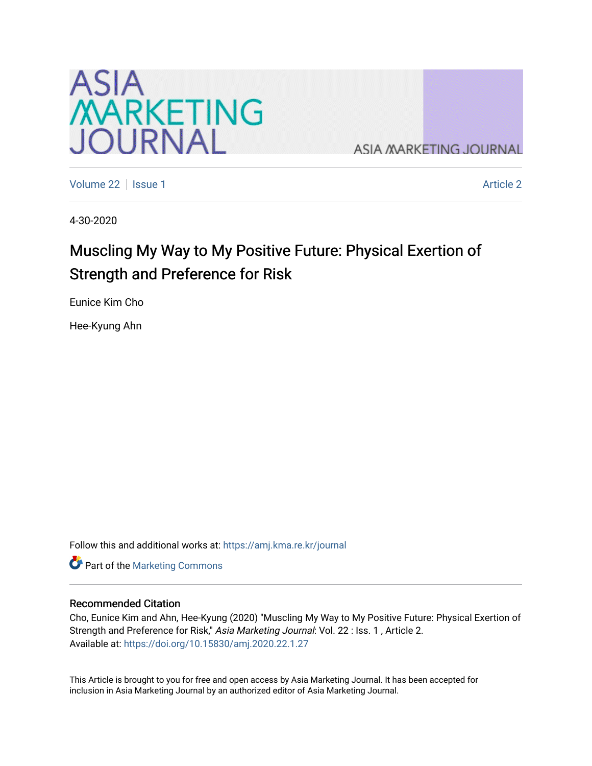

**ASIA MARKETING JOURNAL** 

[Volume 22](https://amj.kma.re.kr/journal/vol22) | [Issue 1](https://amj.kma.re.kr/journal/vol22/iss1) [Article 2](https://amj.kma.re.kr/journal/vol22/iss1/2) | Issue 1 Article 2 | Article 2 | Article 2 | Article 2 | Article 2 | Article 2 | Article 2 | Article 2 | Article 2 | Article 2 | Article 2 | Article 2 | Article 2 | Article 2 | Article 2 | Ar

4-30-2020

# Muscling My Way to My Positive Future: Physical Exertion of Strength and Preference for Risk

Eunice Kim Cho

Hee-Kyung Ahn

Follow this and additional works at: [https://amj.kma.re.kr/journal](https://amj.kma.re.kr/journal?utm_source=amj.kma.re.kr%2Fjournal%2Fvol22%2Fiss1%2F2&utm_medium=PDF&utm_campaign=PDFCoverPages) 

Part of the [Marketing Commons](http://network.bepress.com/hgg/discipline/638?utm_source=amj.kma.re.kr%2Fjournal%2Fvol22%2Fiss1%2F2&utm_medium=PDF&utm_campaign=PDFCoverPages)

## Recommended Citation

Cho, Eunice Kim and Ahn, Hee-Kyung (2020) "Muscling My Way to My Positive Future: Physical Exertion of Strength and Preference for Risk," Asia Marketing Journal: Vol. 22 : Iss. 1 , Article 2. Available at:<https://doi.org/10.15830/amj.2020.22.1.27>

This Article is brought to you for free and open access by Asia Marketing Journal. It has been accepted for inclusion in Asia Marketing Journal by an authorized editor of Asia Marketing Journal.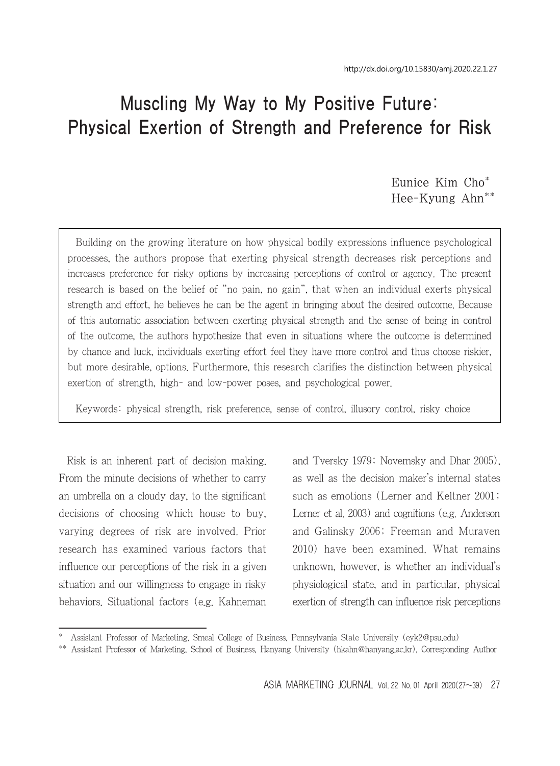# Muscling My Way to My Positive Future: Physical Exertion of Strength and Preference for Risk

Eunice Kim Cho\* Hee-Kyung Ahn\*\*

Building on the growing literature on how physical bodily expressions influence psychological processes, the authors propose that exerting physical strength decreases risk perceptions and increases preference for risky options by increasing perceptions of control or agency. The present research is based on the belief of "no pain, no gain", that when an individual exerts physical strength and effort, he believes he can be the agent in bringing about the desired outcome. Because of this automatic association between exerting physical strength and the sense of being in control of the outcome, the authors hypothesize that even in situations where the outcome is determined by chance and luck, individuals exerting effort feel they have more control and thus choose riskier, but more desirable, options. Furthermore, this research clarifies the distinction between physical exertion of strength, high- and low-power poses, and psychological power.

Keywords: physical strength, risk preference, sense of control, illusory control, risky choice

Risk is an inherent part of decision making. From the minute decisions of whether to carry an umbrella on a cloudy day, to the significant decisions of choosing which house to buy, varying degrees of risk are involved. Prior research has examined various factors that influence our perceptions of the risk in a given situation and our willingness to engage in risky behaviors. Situational factors (e.g. Kahneman and Tversky 1979; Novemsky and Dhar 2005), as well as the decision maker's internal states such as emotions (Lerner and Keltner 2001; Lerner et al. 2003) and cognitions (e.g. Anderson and Galinsky 2006; Freeman and Muraven 2010) have been examined. What remains unknown, however, is whether an individual's physiological state, and in particular, physical exertion of strength can influence risk perceptions

<sup>\*</sup> Assistant Professor of Marketing, Smeal College of Business, Pennsylvania State University (eyk2@psu.edu)

<sup>\*\*</sup> Assistant Professor of Marketing, School of Business, Hanyang University (hkahn@hanyang.ac.kr), Corresponding Author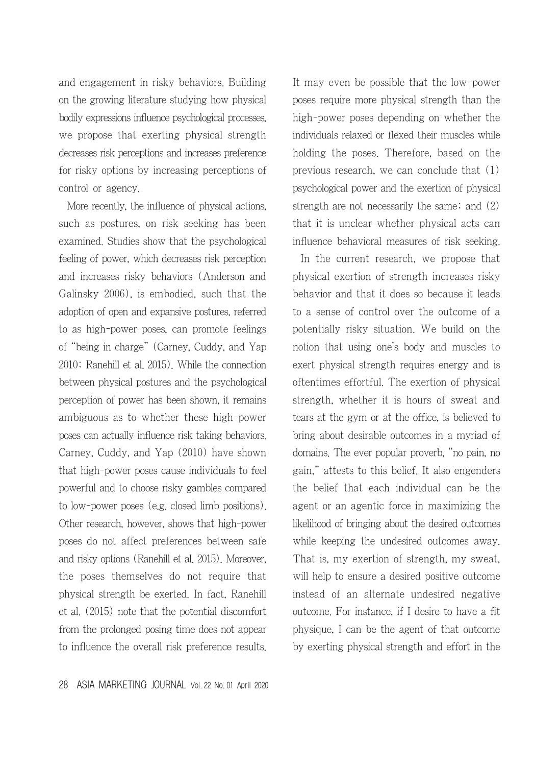and engagement in risky behaviors. Building on the growing literature studying how physical bodily expressions influence psychological processes, we propose that exerting physical strength decreases risk perceptions and increases preference for risky options by increasing perceptions of control or agency.

More recently, the influence of physical actions, such as postures, on risk seeking has been examined. Studies show that the psychological feeling of power, which decreases risk perception and increases risky behaviors (Anderson and Galinsky 2006), is embodied, such that the adoption of open and expansive postures, referred to as high-power poses, can promote feelings of "being in charge" (Carney, Cuddy, and Yap 2010; Ranehill et al. 2015). While the connection between physical postures and the psychological perception of power has been shown, it remains ambiguous as to whether these high-power poses can actually influence risk taking behaviors. Carney, Cuddy, and Yap (2010) have shown that high-power poses cause individuals to feel powerful and to choose risky gambles compared to low-power poses (e.g. closed limb positions). Other research, however, shows that high-power poses do not affect preferences between safe and risky options (Ranehill et al. 2015). Moreover, the poses themselves do not require that physical strength be exerted. In fact, Ranehill et al. (2015) note that the potential discomfort from the prolonged posing time does not appear to influence the overall risk preference results. It may even be possible that the low-power poses require more physical strength than the high-power poses depending on whether the individuals relaxed or flexed their muscles while holding the poses. Therefore, based on the previous research, we can conclude that (1) psychological power and the exertion of physical strength are not necessarily the same; and (2) that it is unclear whether physical acts can influence behavioral measures of risk seeking.

In the current research, we propose that physical exertion of strength increases risky behavior and that it does so because it leads to a sense of control over the outcome of a potentially risky situation. We build on the notion that using one's body and muscles to exert physical strength requires energy and is oftentimes effortful. The exertion of physical strength, whether it is hours of sweat and tears at the gym or at the office, is believed to bring about desirable outcomes in a myriad of domains. The ever popular proverb, "no pain, no gain," attests to this belief. It also engenders the belief that each individual can be the agent or an agentic force in maximizing the likelihood of bringing about the desired outcomes while keeping the undesired outcomes away. That is, my exertion of strength, my sweat, will help to ensure a desired positive outcome instead of an alternate undesired negative outcome. For instance, if I desire to have a fit physique, I can be the agent of that outcome by exerting physical strength and effort in the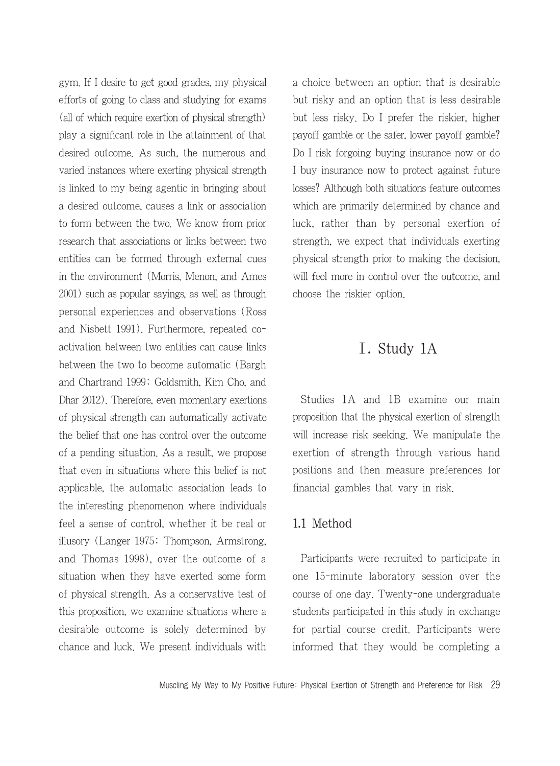gym. If I desire to get good grades, my physical efforts of going to class and studying for exams (all of which require exertion of physical strength) play a significant role in the attainment of that desired outcome. As such, the numerous and varied instances where exerting physical strength is linked to my being agentic in bringing about a desired outcome, causes a link or association to form between the two. We know from prior research that associations or links between two entities can be formed through external cues in the environment (Morris, Menon, and Ames 2001) such as popular sayings, as well as through personal experiences and observations (Ross and Nisbett 1991). Furthermore, repeated coactivation between two entities can cause links between the two to become automatic (Bargh and Chartrand 1999; Goldsmith, Kim Cho, and Dhar 2012). Therefore, even momentary exertions of physical strength can automatically activate the belief that one has control over the outcome of a pending situation. As a result, we propose that even in situations where this belief is not applicable, the automatic association leads to the interesting phenomenon where individuals feel a sense of control, whether it be real or illusory (Langer 1975; Thompson, Armstrong, and Thomas 1998), over the outcome of a situation when they have exerted some form of physical strength. As a conservative test of this proposition, we examine situations where a desirable outcome is solely determined by chance and luck. We present individuals with

a choice between an option that is desirable but risky and an option that is less desirable but less risky. Do I prefer the riskier, higher payoff gamble or the safer, lower payoff gamble? Do I risk forgoing buying insurance now or do I buy insurance now to protect against future losses? Although both situations feature outcomes which are primarily determined by chance and luck, rather than by personal exertion of strength, we expect that individuals exerting physical strength prior to making the decision, will feel more in control over the outcome, and choose the riskier option.

# Ⅰ. Study 1A

Studies 1A and 1B examine our main proposition that the physical exertion of strength will increase risk seeking. We manipulate the exertion of strength through various hand positions and then measure preferences for financial gambles that vary in risk.

## 1.1 Method

Participants were recruited to participate in one 15-minute laboratory session over the course of one day. Twenty-one undergraduate students participated in this study in exchange for partial course credit. Participants were informed that they would be completing a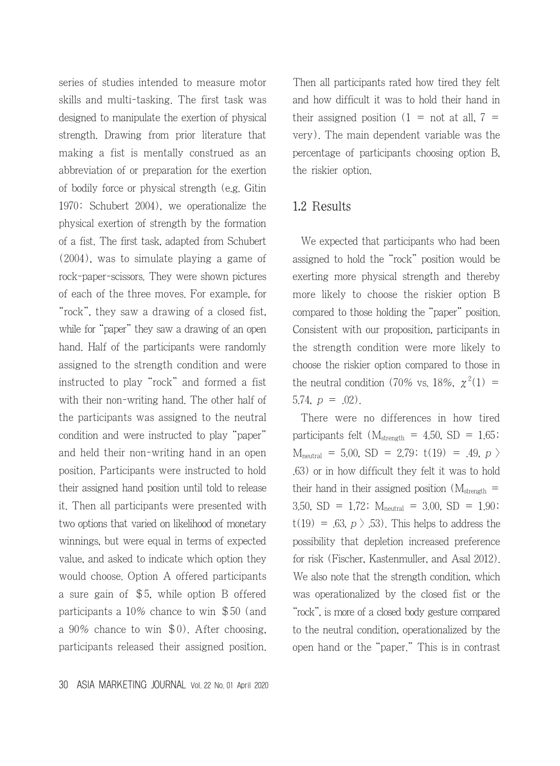series of studies intended to measure motor skills and multi-tasking. The first task was designed to manipulate the exertion of physical strength. Drawing from prior literature that making a fist is mentally construed as an abbreviation of or preparation for the exertion of bodily force or physical strength (e.g. Gitin 1970; Schubert 2004), we operationalize the physical exertion of strength by the formation of a fist. The first task, adapted from Schubert (2004), was to simulate playing a game of rock-paper-scissors. They were shown pictures of each of the three moves. For example, for "rock", they saw a drawing of a closed fist, while for "paper" they saw a drawing of an open hand. Half of the participants were randomly assigned to the strength condition and were instructed to play "rock" and formed a fist with their non-writing hand. The other half of the participants was assigned to the neutral condition and were instructed to play "paper" and held their non-writing hand in an open position. Participants were instructed to hold their assigned hand position until told to release it. Then all participants were presented with two options that varied on likelihood of monetary winnings, but were equal in terms of expected value, and asked to indicate which option they would choose. Option A offered participants a sure gain of \$5, while option B offered participants a 10% chance to win \$50 (and a 90% chance to win \$0). After choosing, participants released their assigned position. Then all participants rated how tired they felt and how difficult it was to hold their hand in their assigned position  $(1 = \text{not at all}, 7 =$ very). The main dependent variable was the percentage of participants choosing option B, the riskier option.

## 1.2 Results

We expected that participants who had been assigned to hold the "rock" position would be exerting more physical strength and thereby more likely to choose the riskier option B compared to those holding the "paper" position. Consistent with our proposition, participants in the strength condition were more likely to choose the riskier option compared to those in the neutral condition (70% vs. 18%,  $\chi^2(1)$  = 5.74,  $p = .02$ ).

There were no differences in how tired participants felt ( $M_{\text{strength}}$  = 4.50, SD = 1.65;  $M_{neutral}$  = 5.00, SD = 2.79; t(19) = .49, p > .63) or in how difficult they felt it was to hold their hand in their assigned position ( $M<sub>strength</sub>$  = 3.50, SD = 1.72;  $M_{neutral}$  = 3.00, SD = 1.90;  $t(19) = .63, p \nightharpoonup 53$ . This helps to address the possibility that depletion increased preference for risk (Fischer, Kastenmuller, and Asal 2012). We also note that the strength condition, which was operationalized by the closed fist or the "rock", is more of a closed body gesture compared to the neutral condition, operationalized by the open hand or the "paper." This is in contrast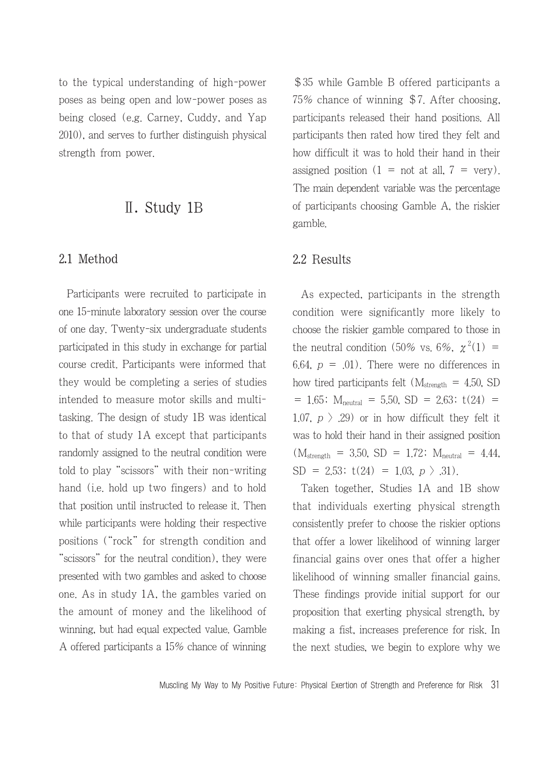to the typical understanding of high-power poses as being open and low-power poses as being closed (e.g. Carney, Cuddy, and Yap 2010), and serves to further distinguish physical strength from power.

# Ⅱ. Study 1B

## 2.1 Method

Participants were recruited to participate in one 15-minute laboratory session over the course of one day. Twenty-six undergraduate students participated in this study in exchange for partial course credit. Participants were informed that they would be completing a series of studies intended to measure motor skills and multitasking. The design of study 1B was identical to that of study 1A except that participants randomly assigned to the neutral condition were told to play "scissors" with their non-writing hand (i.e. hold up two fingers) and to hold that position until instructed to release it. Then while participants were holding their respective positions ("rock" for strength condition and "scissors" for the neutral condition), they were presented with two gambles and asked to choose one. As in study 1A, the gambles varied on the amount of money and the likelihood of winning, but had equal expected value. Gamble A offered participants a 15% chance of winning

\$35 while Gamble B offered participants a 75% chance of winning \$7. After choosing, participants released their hand positions. All participants then rated how tired they felt and how difficult it was to hold their hand in their assigned position  $(1 = \text{not at all}, 7 = \text{very})$ . The main dependent variable was the percentage of participants choosing Gamble A, the riskier gamble.

## 2.2 Results

As expected, participants in the strength condition were significantly more likely to choose the riskier gamble compared to those in the neutral condition (50% vs. 6%,  $\chi^2(1)$  = 6.64,  $p = .01$ ). There were no differences in how tired participants felt ( $M<sub>strength</sub> = 4.50$ , SD  $= 1.65$ ; M<sub>neutral</sub>  $= 5.50$ , SD  $= 2.63$ ; t(24)  $=$ 1.07,  $p > 0.29$  or in how difficult they felt it was to hold their hand in their assigned position  $(M_{\text{strength}} = 3.50, SD = 1.72; M_{\text{neutral}} = 4.44,$  $SD = 2.53$ ;  $t(24) = 1.03$ ,  $p > .31$ ).

Taken together, Studies 1A and 1B show that individuals exerting physical strength consistently prefer to choose the riskier options that offer a lower likelihood of winning larger financial gains over ones that offer a higher likelihood of winning smaller financial gains. These findings provide initial support for our proposition that exerting physical strength, by making a fist, increases preference for risk. In the next studies, we begin to explore why we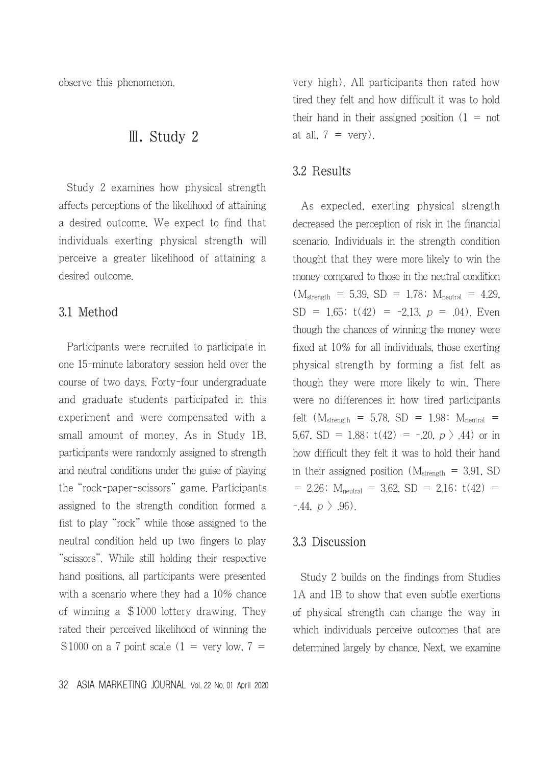observe this phenomenon.

# Ⅲ. Study 2

Study 2 examines how physical strength affects perceptions of the likelihood of attaining a desired outcome. We expect to find that individuals exerting physical strength will perceive a greater likelihood of attaining a desired outcome.

## 3.1 Method

Participants were recruited to participate in one 15-minute laboratory session held over the course of two days. Forty-four undergraduate and graduate students participated in this experiment and were compensated with a small amount of money. As in Study 1B, participants were randomly assigned to strength and neutral conditions under the guise of playing the "rock-paper-scissors" game. Participants assigned to the strength condition formed a fist to play "rock" while those assigned to the neutral condition held up two fingers to play "scissors". While still holding their respective hand positions, all participants were presented with a scenario where they had a 10% chance of winning a \$1000 lottery drawing. They rated their perceived likelihood of winning the  $$1000$  on a 7 point scale (1 = very low, 7 =

very high). All participants then rated how tired they felt and how difficult it was to hold their hand in their assigned position  $(1 = not$ at all,  $7 = \text{very}$ .

#### 3.2 Results

As expected, exerting physical strength decreased the perception of risk in the financial scenario. Individuals in the strength condition thought that they were more likely to win the money compared to those in the neutral condition  $(M_{\rm strength} = 5.39, SD = 1.78; M_{\rm neutral} = 4.29,$  $SD = 1.65$ ;  $t(42) = -2.13$ ,  $p = .04$ ). Even though the chances of winning the money were fixed at 10% for all individuals, those exerting physical strength by forming a fist felt as though they were more likely to win. There were no differences in how tired participants felt ( $M_{\text{strength}}$  = 5.78, SD = 1.98;  $M_{\text{neutral}}$  = 5.67, SD = 1.88;  $t(42) = -20$ ,  $p > .44$ ) or in how difficult they felt it was to hold their hand in their assigned position  $(M_{\rm strength} = 3.91, SD)$  $= 2.26$ ; M<sub>neutral</sub>  $= 3.62$ , SD  $= 2.16$ ; t(42)  $=$  $-44, p \nbrace .96$ .

#### 3.3 Discussion

Study 2 builds on the findings from Studies 1A and 1B to show that even subtle exertions of physical strength can change the way in which individuals perceive outcomes that are determined largely by chance. Next, we examine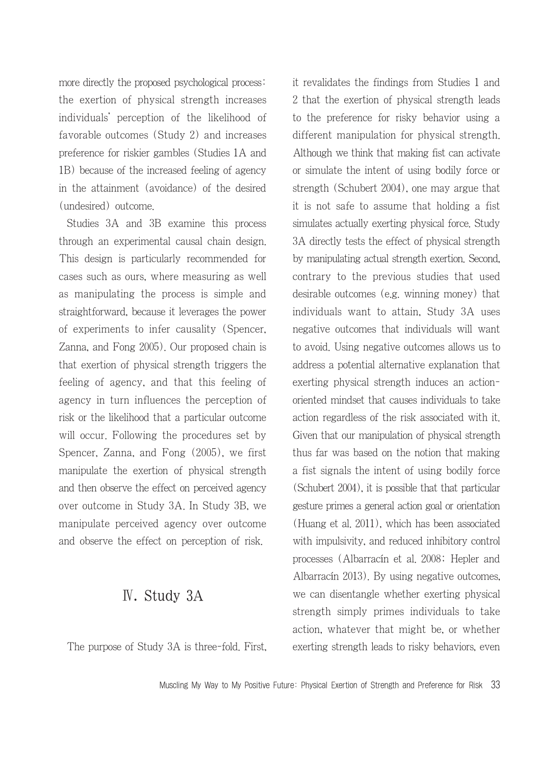more directly the proposed psychological process: the exertion of physical strength increases individuals' perception of the likelihood of favorable outcomes (Study 2) and increases preference for riskier gambles (Studies 1A and 1B) because of the increased feeling of agency in the attainment (avoidance) of the desired (undesired) outcome.

Studies 3A and 3B examine this process through an experimental causal chain design. This design is particularly recommended for cases such as ours, where measuring as well as manipulating the process is simple and straightforward, because it leverages the power of experiments to infer causality (Spencer, Zanna, and Fong 2005). Our proposed chain is that exertion of physical strength triggers the feeling of agency, and that this feeling of agency in turn influences the perception of risk or the likelihood that a particular outcome will occur. Following the procedures set by Spencer, Zanna, and Fong (2005), we first manipulate the exertion of physical strength and then observe the effect on perceived agency over outcome in Study 3A. In Study 3B, we manipulate perceived agency over outcome and observe the effect on perception of risk.

# Ⅳ. Study 3A

The purpose of Study 3A is three-fold. First,

it revalidates the findings from Studies 1 and 2 that the exertion of physical strength leads to the preference for risky behavior using a different manipulation for physical strength. Although we think that making fist can activate or simulate the intent of using bodily force or strength (Schubert 2004), one may argue that it is not safe to assume that holding a fist simulates actually exerting physical force. Study 3A directly tests the effect of physical strength by manipulating actual strength exertion. Second, contrary to the previous studies that used desirable outcomes (e.g. winning money) that individuals want to attain, Study 3A uses negative outcomes that individuals will want to avoid. Using negative outcomes allows us to address a potential alternative explanation that exerting physical strength induces an actionoriented mindset that causes individuals to take action regardless of the risk associated with it. Given that our manipulation of physical strength thus far was based on the notion that making a fist signals the intent of using bodily force (Schubert 2004), it is possible that that particular gesture primes a general action goal or orientation (Huang et al. 2011), which has been associated with impulsivity, and reduced inhibitory control processes (Albarracín et al. 2008; Hepler and Albarracín 2013). By using negative outcomes, we can disentangle whether exerting physical strength simply primes individuals to take action, whatever that might be, or whether exerting strength leads to risky behaviors, even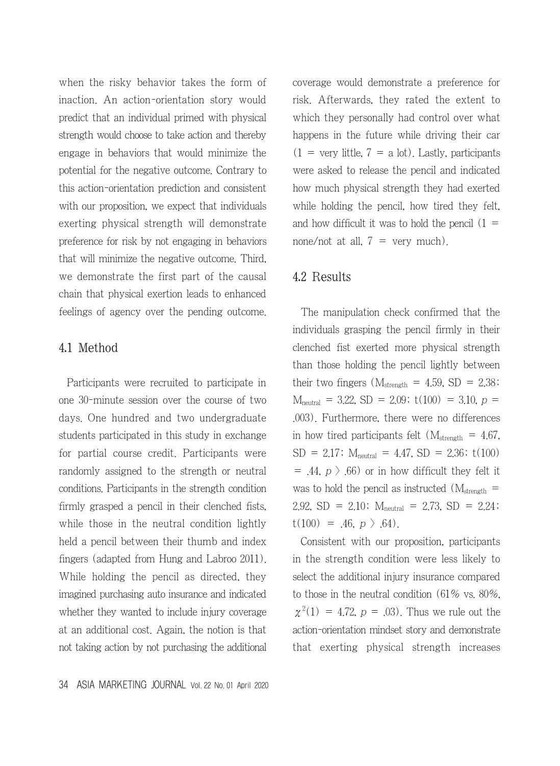when the risky behavior takes the form of inaction. An action-orientation story would predict that an individual primed with physical strength would choose to take action and thereby engage in behaviors that would minimize the potential for the negative outcome. Contrary to this action-orientation prediction and consistent with our proposition, we expect that individuals exerting physical strength will demonstrate preference for risk by not engaging in behaviors that will minimize the negative outcome. Third, we demonstrate the first part of the causal chain that physical exertion leads to enhanced feelings of agency over the pending outcome.

#### 4.1 Method

Participants were recruited to participate in one 30-minute session over the course of two days. One hundred and two undergraduate students participated in this study in exchange for partial course credit. Participants were randomly assigned to the strength or neutral conditions. Participants in the strength condition firmly grasped a pencil in their clenched fists, while those in the neutral condition lightly held a pencil between their thumb and index fingers (adapted from Hung and Labroo 2011). While holding the pencil as directed, they imagined purchasing auto insurance and indicated whether they wanted to include injury coverage at an additional cost. Again, the notion is that not taking action by not purchasing the additional coverage would demonstrate a preference for risk. Afterwards, they rated the extent to which they personally had control over what happens in the future while driving their car  $(1 = \text{very little}, 7 = \text{a lot})$ . Lastly, participants were asked to release the pencil and indicated how much physical strength they had exerted while holding the pencil, how tired they felt, and how difficult it was to hold the pencil  $(1 =$ none/not at all,  $7 = \text{very much}$ .

#### 4.2 Results

The manipulation check confirmed that the individuals grasping the pencil firmly in their clenched fist exerted more physical strength than those holding the pencil lightly between their two fingers  $(M_{\rm strength} = 4.59, SD = 2.38)$  $M_{neutral}$  = 3.22, SD = 2.09; t(100) = 3.10, p = .003). Furthermore, there were no differences in how tired participants felt ( $M<sub>strength</sub> = 4.67$ ,  $SD = 2.17$ ;  $M_{neutral} = 4.47$ ,  $SD = 2.36$ ;  $t(100)$  $= .44, p \nightharpoonup .66$  or in how difficult they felt it was to hold the pencil as instructed  $(M_{\rm strength} =$ 2.92, SD = 2.10;  $M_{neutral}$  = 2.73, SD = 2.24;  $t(100) = .46, p \nbrace .64$ .

Consistent with our proposition, participants in the strength condition were less likely to select the additional injury insurance compared to those in the neutral condition (61% vs. 80%,  $\chi^2(1) = 4.72$ ,  $p = .03$ ). Thus we rule out the action-orientation mindset story and demonstrate that exerting physical strength increases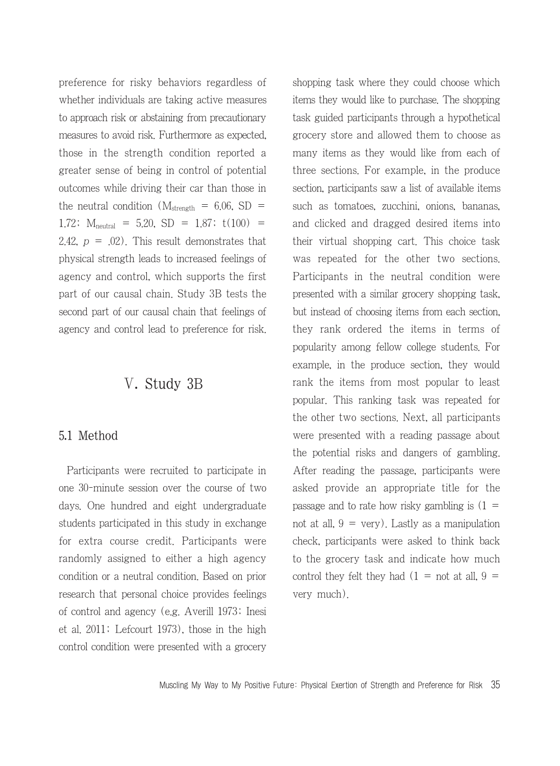preference for risky behaviors regardless of whether individuals are taking active measures to approach risk or abstaining from precautionary measures to avoid risk. Furthermore as expected, those in the strength condition reported a greater sense of being in control of potential outcomes while driving their car than those in the neutral condition  $(M_{\text{strength}} = 6.06, SD =$ 1.72;  $M_{neutral} = 5.20$ ,  $SD = 1.87$ ;  $t(100) =$ 2.42,  $p = .02$ ). This result demonstrates that physical strength leads to increased feelings of agency and control, which supports the first part of our causal chain. Study 3B tests the second part of our causal chain that feelings of agency and control lead to preference for risk.

# Ⅴ. Study 3B

## 5.1 Method

Participants were recruited to participate in one 30-minute session over the course of two days. One hundred and eight undergraduate students participated in this study in exchange for extra course credit. Participants were randomly assigned to either a high agency condition or a neutral condition. Based on prior research that personal choice provides feelings of control and agency (e.g. Averill 1973; Inesi et al. 2011; Lefcourt 1973), those in the high control condition were presented with a grocery shopping task where they could choose which items they would like to purchase. The shopping task guided participants through a hypothetical grocery store and allowed them to choose as many items as they would like from each of three sections. For example, in the produce section, participants saw a list of available items such as tomatoes, zucchini, onions, bananas, and clicked and dragged desired items into their virtual shopping cart. This choice task was repeated for the other two sections. Participants in the neutral condition were presented with a similar grocery shopping task, but instead of choosing items from each section, they rank ordered the items in terms of popularity among fellow college students. For example, in the produce section, they would rank the items from most popular to least popular. This ranking task was repeated for the other two sections. Next, all participants were presented with a reading passage about the potential risks and dangers of gambling. After reading the passage, participants were asked provide an appropriate title for the passage and to rate how risky gambling is  $(1 =$ not at all,  $9 = \text{very}$ . Lastly as a manipulation check, participants were asked to think back to the grocery task and indicate how much control they felt they had  $(1 = not at all, 9 =$ very much).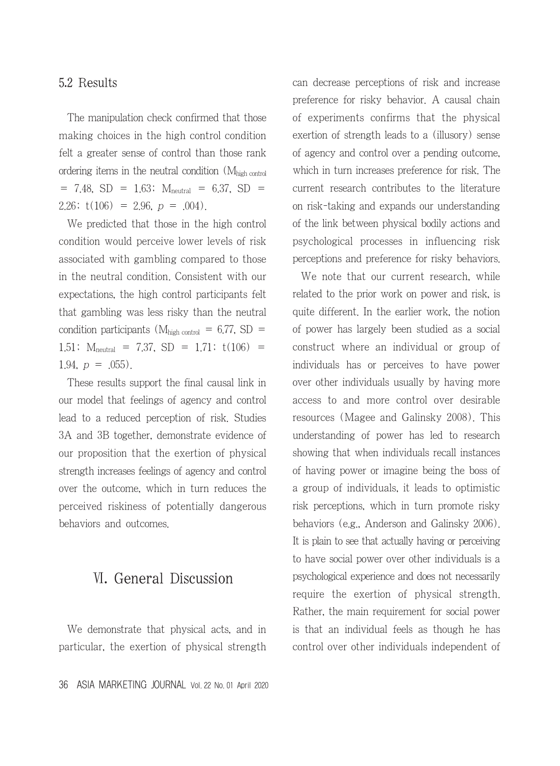## 5.2 Results

The manipulation check confirmed that those making choices in the high control condition felt a greater sense of control than those rank ordering items in the neutral condition (Mhigh control  $= 7.48$ , SD  $= 1.63$ ;  $M_{neutral} = 6.37$ , SD  $=$ 2.26;  $t(106) = 2.96$ ,  $p = .004$ ).

We predicted that those in the high control condition would perceive lower levels of risk associated with gambling compared to those in the neutral condition. Consistent with our expectations, the high control participants felt that gambling was less risky than the neutral condition participants ( $M<sub>high control</sub> = 6.77$ , SD = 1.51;  $M_{neutral}$  = 7.37, SD = 1.71;  $t(106)$  = 1.94,  $p = .055$ ).

These results support the final causal link in our model that feelings of agency and control lead to a reduced perception of risk. Studies 3A and 3B together, demonstrate evidence of our proposition that the exertion of physical strength increases feelings of agency and control over the outcome, which in turn reduces the perceived riskiness of potentially dangerous behaviors and outcomes.

# Ⅵ. General Discussion

We demonstrate that physical acts, and in particular, the exertion of physical strength can decrease perceptions of risk and increase preference for risky behavior. A causal chain of experiments confirms that the physical exertion of strength leads to a (illusory) sense of agency and control over a pending outcome, which in turn increases preference for risk. The current research contributes to the literature on risk-taking and expands our understanding of the link between physical bodily actions and psychological processes in influencing risk perceptions and preference for risky behaviors.

We note that our current research, while related to the prior work on power and risk, is quite different. In the earlier work, the notion of power has largely been studied as a social construct where an individual or group of individuals has or perceives to have power over other individuals usually by having more access to and more control over desirable resources (Magee and Galinsky 2008). This understanding of power has led to research showing that when individuals recall instances of having power or imagine being the boss of a group of individuals, it leads to optimistic risk perceptions, which in turn promote risky behaviors (e.g., Anderson and Galinsky 2006). It is plain to see that actually having or perceiving to have social power over other individuals is a psychological experience and does not necessarily require the exertion of physical strength. Rather, the main requirement for social power is that an individual feels as though he has control over other individuals independent of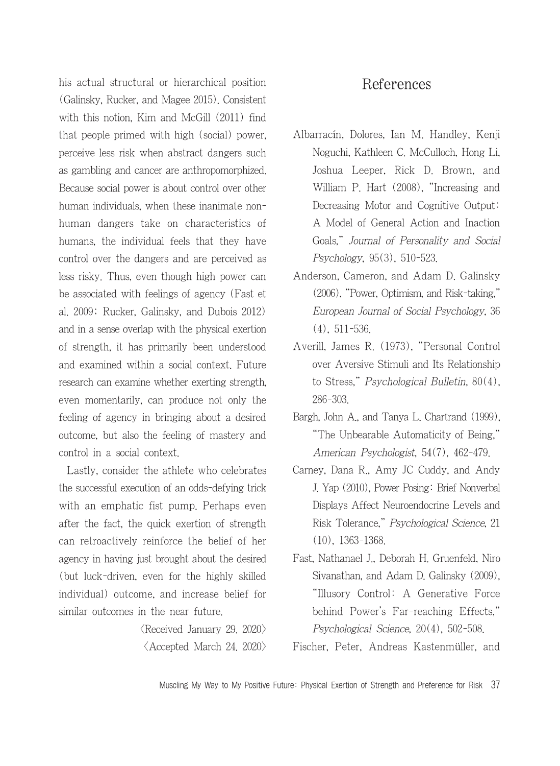his actual structural or hierarchical position (Galinsky, Rucker, and Magee 2015). Consistent with this notion, Kim and McGill (2011) find that people primed with high (social) power, perceive less risk when abstract dangers such as gambling and cancer are anthropomorphized. Because social power is about control over other human individuals, when these inanimate nonhuman dangers take on characteristics of humans, the individual feels that they have control over the dangers and are perceived as less risky. Thus, even though high power can be associated with feelings of agency (Fast et al. 2009; Rucker, Galinsky, and Dubois 2012) and in a sense overlap with the physical exertion of strength, it has primarily been understood and examined within a social context. Future research can examine whether exerting strength, even momentarily, can produce not only the feeling of agency in bringing about a desired outcome, but also the feeling of mastery and control in a social context.

Lastly, consider the athlete who celebrates the successful execution of an odds-defying trick with an emphatic fist pump. Perhaps even after the fact, the quick exertion of strength can retroactively reinforce the belief of her agency in having just brought about the desired (but luck-driven, even for the highly skilled individual) outcome, and increase belief for similar outcomes in the near future.

> $\langle$ Received January 29, 2020 $\rangle$  $\langle$  Accepted March 24. 2020 $\rangle$

# References

- Albarracín, Dolores, Ian M. Handley, Kenji Noguchi, Kathleen C. McCulloch, Hong Li, Joshua Leeper, Rick D. Brown, and William P. Hart (2008), "Increasing and Decreasing Motor and Cognitive Output: A Model of General Action and Inaction Goals," Journal of Personality and Social Psychology, 95(3), 510-523.
- Anderson, Cameron, and Adam D. Galinsky (2006), "Power, Optimism, and Risk-taking," European Journal of Social Psychology, 36 (4), 511-536.
- Averill, James R. (1973), "Personal Control over Aversive Stimuli and Its Relationship to Stress," Psychological Bulletin, 80(4), 286-303.
- Bargh, John A., and Tanya L. Chartrand (1999), "The Unbearable Automaticity of Being," American Psychologist, 54(7), 462-479.
- Carney, Dana R., Amy JC Cuddy, and Andy J. Yap (2010), Power Posing: Brief Nonverbal Displays Affect Neuroendocrine Levels and Risk Tolerance," Psychological Science, 21 (10), 1363-1368.
- Fast, Nathanael J., Deborah H. Gruenfeld, Niro Sivanathan, and Adam D. Galinsky (2009), "Illusory Control: A Generative Force behind Power's Far-reaching Effects," Psychological Science, 20(4), 502-508.
- Fischer, Peter, Andreas Kastenmüller, and

Muscling My Way to My Positive Future: Physical Exertion of Strength and Preference for Risk 37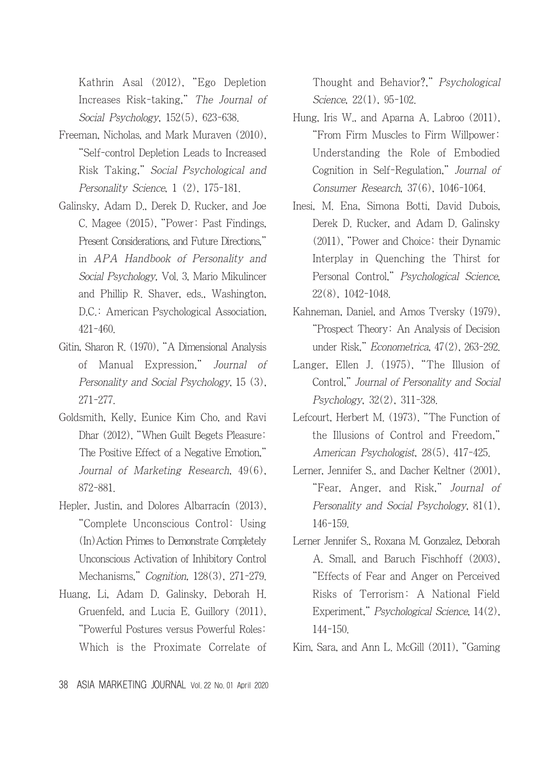Kathrin Asal (2012), "Ego Depletion Increases Risk-taking," The Journal of Social Psychology, 152(5), 623-638.

- Freeman, Nicholas, and Mark Muraven (2010), "Self-control Depletion Leads to Increased Risk Taking," Social Psychological and Personality Science, 1 (2), 175-181.
- Galinsky, Adam D., Derek D. Rucker, and Joe C. Magee (2015), "Power: Past Findings, Present Considerations, and Future Directions," in APA Handbook of Personality and Social Psychology, Vol. 3, Mario Mikulincer and Phillip R. Shaver, eds., Washington, D.C.: American Psychological Association, 421-460.
- Gitin, Sharon R. (1970), "A Dimensional Analysis of Manual Expression," Journal of Personality and Social Psychology, 15 (3), 271-277.
- Goldsmith, Kelly, Eunice Kim Cho, and Ravi Dhar (2012), "When Guilt Begets Pleasure: The Positive Effect of a Negative Emotion," Journal of Marketing Research, 49(6), 872-881.
- Hepler, Justin, and Dolores Albarracín (2013), "Complete Unconscious Control: Using (In)Action Primes to Demonstrate Completely Unconscious Activation of Inhibitory Control Mechanisms," Cognition, 128(3), 271-279.
- Huang, Li, Adam D. Galinsky, Deborah H. Gruenfeld, and Lucia E. Guillory (2011), "Powerful Postures versus Powerful Roles: Which is the Proximate Correlate of

Thought and Behavior?," Psychological Science, 22(1), 95-102.

- Hung, Iris W., and Aparna A. Labroo (2011), "From Firm Muscles to Firm Willpower: Understanding the Role of Embodied Cognition in Self-Regulation," Journal of Consumer Research, 37(6), 1046-1064.
- Inesi, M. Ena, Simona Botti, David Dubois, Derek D. Rucker, and Adam D. Galinsky (2011), "Power and Choice: their Dynamic Interplay in Quenching the Thirst for Personal Control," Psychological Science, 22(8), 1042-1048.
- Kahneman, Daniel, and Amos Tversky (1979), "Prospect Theory: An Analysis of Decision under Risk," Econometrica, 47(2), 263-292.
- Langer, Ellen J. (1975), "The Illusion of Control," Journal of Personality and Social Psychology, 32(2), 311-328.
- Lefcourt, Herbert M. (1973), "The Function of the Illusions of Control and Freedom," American Psychologist, 28(5), 417-425.
- Lerner, Jennifer S., and Dacher Keltner (2001), "Fear, Anger, and Risk," Journal of Personality and Social Psychology, 81(1), 146-159.
- Lerner Jennifer S., Roxana M. Gonzalez, Deborah A. Small, and Baruch Fischhoff (2003), "Effects of Fear and Anger on Perceived Risks of Terrorism: A National Field Experiment," Psychological Science, 14(2), 144-150.
- Kim, Sara, and Ann L. McGill (2011), "Gaming